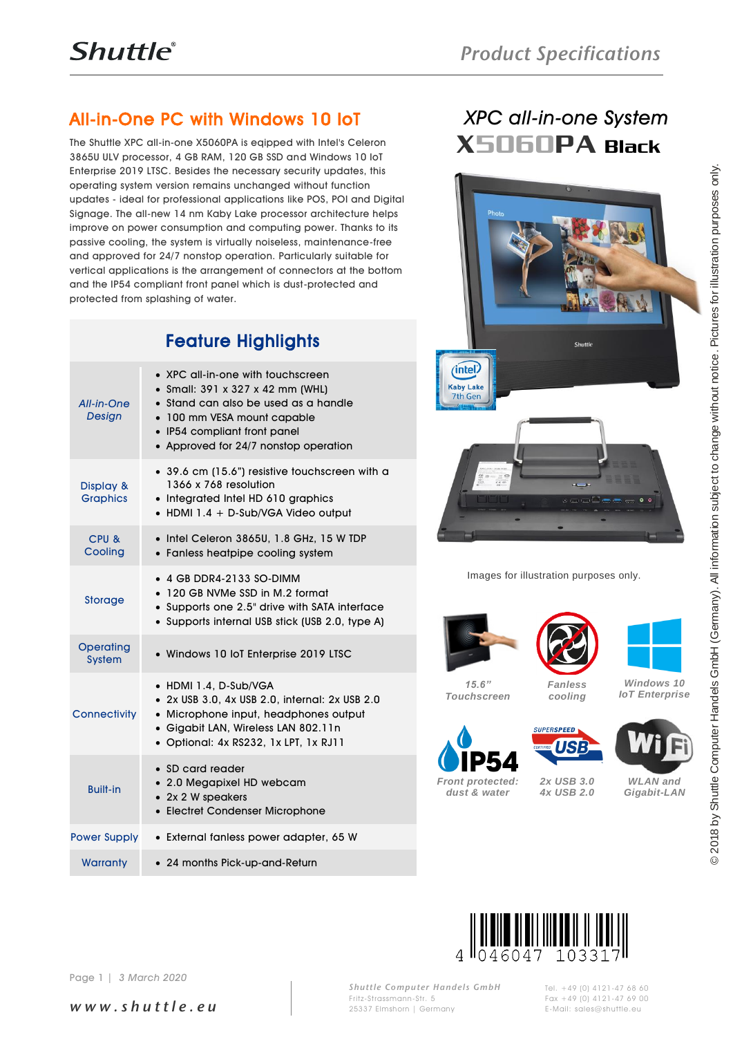## All-in-One PC with Windows 10 IoT

The Shuttle XPC all-in-one X5060PA is eqipped with Intel's Celeron 3865U ULV processor, 4 GB RAM, 120 GB SSD and Windows 10 IoT Enterprise 2019 LTSC. Besides the necessary security updates, this operating system version remains unchanged without function updates - ideal for professional applications like POS, POI and Digital Signage. The all-new 14 nm Kaby Lake processor architecture helps improve on power consumption and computing power. Thanks to its passive cooling, the system is virtually noiseless, maintenance-free and approved for 24/7 nonstop operation. Particularly suitable for vertical applications is the arrangement of connectors at the bottom and the IP54 compliant front panel which is dust-protected and protected from splashing of water.

### Feature Highlights

|                              | Enterprise 2019 LTSC. Besides the necessary security updates, this<br>operating system version remains unchanged without function<br>updates - ideal for professional applications like POS, POI and Digital<br>Signage. The all-new 14 nm Kaby Lake processor architecture helps<br>improve on power consumption and computing power. Thanks to its<br>passive cooling, the system is virtually noiseless, maintenance-free<br>and approved for 24/7 nonstop operation. Particularly suitable for<br>vertical applications is the arrangement of connectors at the bottom<br>and the IP54 compliant front panel which is dust-protected and<br>protected from splashing of water. | 2018 by Shuttle Computer Handels GmbH (Germany). All information subject to change without notice. Pictures for illustration purposes only.<br>Photo |
|------------------------------|------------------------------------------------------------------------------------------------------------------------------------------------------------------------------------------------------------------------------------------------------------------------------------------------------------------------------------------------------------------------------------------------------------------------------------------------------------------------------------------------------------------------------------------------------------------------------------------------------------------------------------------------------------------------------------|------------------------------------------------------------------------------------------------------------------------------------------------------|
|                              | <b>Feature Highlights</b>                                                                                                                                                                                                                                                                                                                                                                                                                                                                                                                                                                                                                                                          | <b>Shuttle</b>                                                                                                                                       |
| All-in-One<br>Design         | • XPC all-in-one with touchscreen<br>• Small: 391 x 327 x 42 mm (WHL)<br>$\bullet$ Stand can also be used as a handle<br>• 100 mm VESA mount capable<br>• IP54 compliant front panel<br>• Approved for 24/7 nonstop operation                                                                                                                                                                                                                                                                                                                                                                                                                                                      | <i>intel</i><br><b>Kaby Lake</b><br>7th Gen                                                                                                          |
| Display &<br><b>Graphics</b> | • 39.6 cm (15.6") resistive touchscreen with a<br>1366 x 768 resolution<br>• Integrated Intel HD 610 graphics<br>• HDMI 1.4 + D-Sub/VGA Video output                                                                                                                                                                                                                                                                                                                                                                                                                                                                                                                               |                                                                                                                                                      |
| CPU&<br>Cooling              | • Intel Celeron 3865U, 1.8 GHz, 15 W TDP<br>• Fanless heatpipe cooling system                                                                                                                                                                                                                                                                                                                                                                                                                                                                                                                                                                                                      |                                                                                                                                                      |
| Storage                      | • 4 GB DDR4-2133 SO-DIMM<br>• 120 GB NVMe SSD in M.2 format<br>• Supports one 2.5" drive with SATA interface<br>• Supports internal USB stick (USB 2.0, type A)                                                                                                                                                                                                                                                                                                                                                                                                                                                                                                                    | Images for illustration purposes only.                                                                                                               |
| <b>Operating</b><br>System   | · Windows 10 IoT Enterprise 2019 LTSC                                                                                                                                                                                                                                                                                                                                                                                                                                                                                                                                                                                                                                              |                                                                                                                                                      |
| Connectivity                 | • HDMI 1.4, D-Sub/VGA<br>• 2x USB 3.0, 4x USB 2.0, internal: 2x USB 2.0<br>• Microphone input, headphones output<br>· Gigabit LAN, Wireless LAN 802.11n<br>· Optional: 4x RS232, 1x LPT, 1x RJ11                                                                                                                                                                                                                                                                                                                                                                                                                                                                                   | Windows 10<br>15.6"<br><b>Fanless</b><br><b>IoT</b> Enterprise<br><b>Touchscreen</b><br>cooling<br><b>SUPERSPEED</b><br><b>CERTIFICAL USE</b>        |
| <b>Built-in</b>              | • SD card reader<br>• 2.0 Megapixel HD webcam<br>• 2x 2 W speakers<br>• Electret Condenser Microphone                                                                                                                                                                                                                                                                                                                                                                                                                                                                                                                                                                              | 2x USB 3.0<br><b>WLAN</b> and<br><b>Front protected:</b><br>dust & water<br>4x USB 2.0<br>Gigabit-LAN                                                |
| <b>Power Supply</b>          | · External fanless power adapter, 65 W                                                                                                                                                                                                                                                                                                                                                                                                                                                                                                                                                                                                                                             |                                                                                                                                                      |
| Warranty                     | • 24 months Pick-up-and-Return                                                                                                                                                                                                                                                                                                                                                                                                                                                                                                                                                                                                                                                     |                                                                                                                                                      |
| Page 1                       | 3 March 2020                                                                                                                                                                                                                                                                                                                                                                                                                                                                                                                                                                                                                                                                       | II <sub>046047</sub><br>1033                                                                                                                         |

# *XPC all-in-one System* X5060PA Black



















### *w w w . s h u t t l e . e u*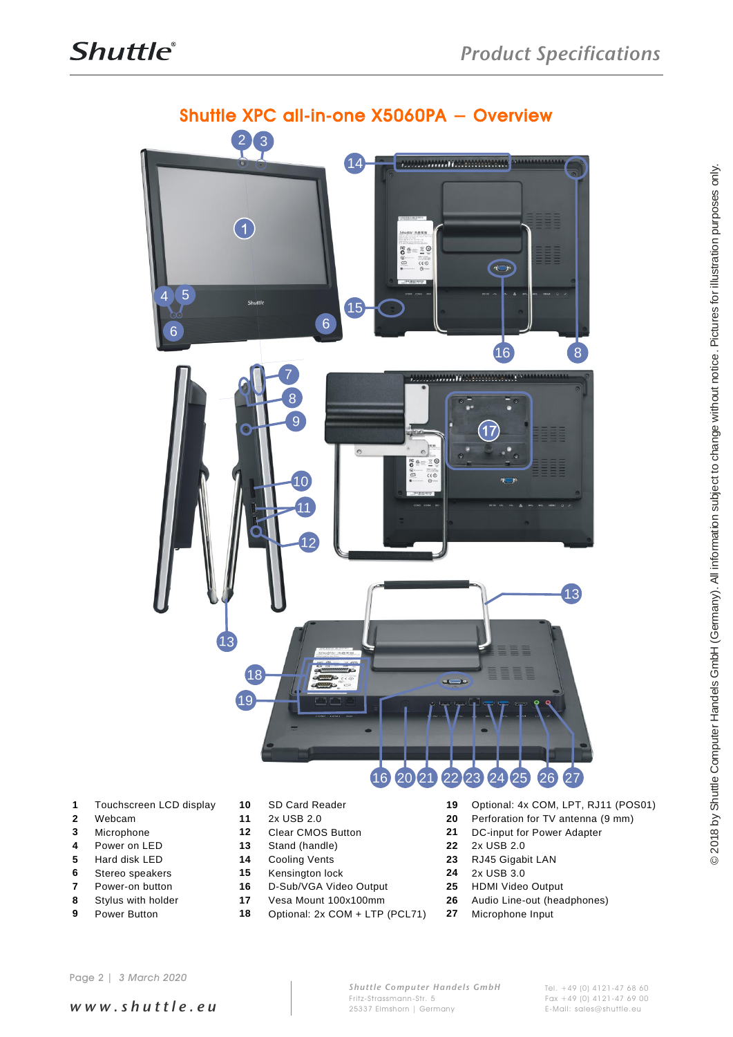

- 
- 
- 
- Power on LED **13** Stand (handle) **22** 2x USB 2.0
- 
- 
- 
- 
- 
- 
- Microphone **12** Clear CMOS Button **21** DC-input for Power Adapter
	-
- Hard disk LED **14** Cooling Vents **23** RJ45 Gigabit LAN
- Stereo speakers **15** Kensington lock **24** 2x USB 3.0
- Power-on button **16** D-Sub/VGA Video Output **25** HDMI Video Output
	-
- Power Button **18** Optional: 2x COM + LTP (PCL71) **27** Microphone Input
- Touchscreen LCD display **10** SD Card Reader **19** Optional: 4x COM, LPT, RJ11 (POS01)
- Webcam **11** 2x USB 2.0 **20** Perforation for TV antenna (9 mm)
	-
	-
	-
	-
	-
- Stylus with holder **17** Vesa Mount 100x100mm **26** Audio Line-out (headphones)
	-

*w w w . s h u t t l e . e u*

*Shuttle Computer Handels GmbH* Fritz -Strassmann-Str. 5 25337 Elmshorn | Germany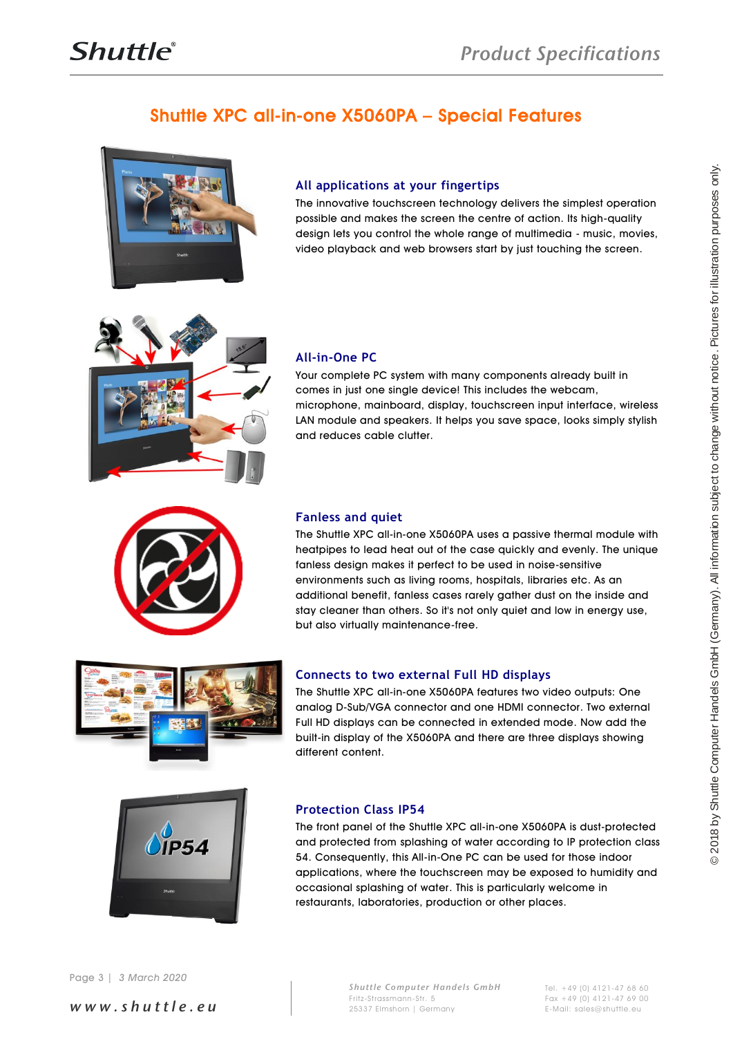### Shuttle XPC all-in-one X5060PA – Special Features



### **All applications at your fingertips**

The innovative touchscreen technology delivers the simplest operation possible and makes the screen the centre of action. Its high-quality design lets you control the whole range of multimedia - music, movies, video playback and web browsers start by just touching the screen.



### **All-in-One PC**

Your complete PC system with many components already built in comes in just one single device! This includes the webcam, microphone, mainboard, display, touchscreen input interface, wireless LAN module and speakers. It helps you save space, looks simply stylish and reduces cable clutter.



### **Fanless and quiet**

March 2020<br>
Simple and the proposal distribution subject to change of production in the computer subject to change of production subject to change with the computer subject to change with the computer Handel Computer Hande The Shuttle XPC all-in-one X5060PA uses a passive thermal module with heatpipes to lead heat out of the case quickly and evenly. The unique fanless design makes it perfect to be used in noise-sensitive environments such as living rooms, hospitals, libraries etc. As an additional benefit, fanless cases rarely gather dust on the inside and stay cleaner than others. So it's not only quiet and low in energy use, but also virtually maintenance-free.



### **Connects to two external Full HD displays**

The Shuttle XPC all-in-one X5060PA features two video outputs: One analog D-Sub/VGA connector and one HDMI connector. Two external Full HD displays can be connected in extended mode. Now add the built-in display of the X5060PA and there are three displays showing different content.



#### **Protection Class IP54**

The front panel of the Shuttle XPC all-in-one X5060PA is dust-protected and protected from splashing of water according to IP protection class 54. Consequently, this All-in-One PC can be used for those indoor applications, where the touchscreen may be exposed to humidity and occasional splashing of water. This is particularly welcome in restaurants, laboratories, production or other places.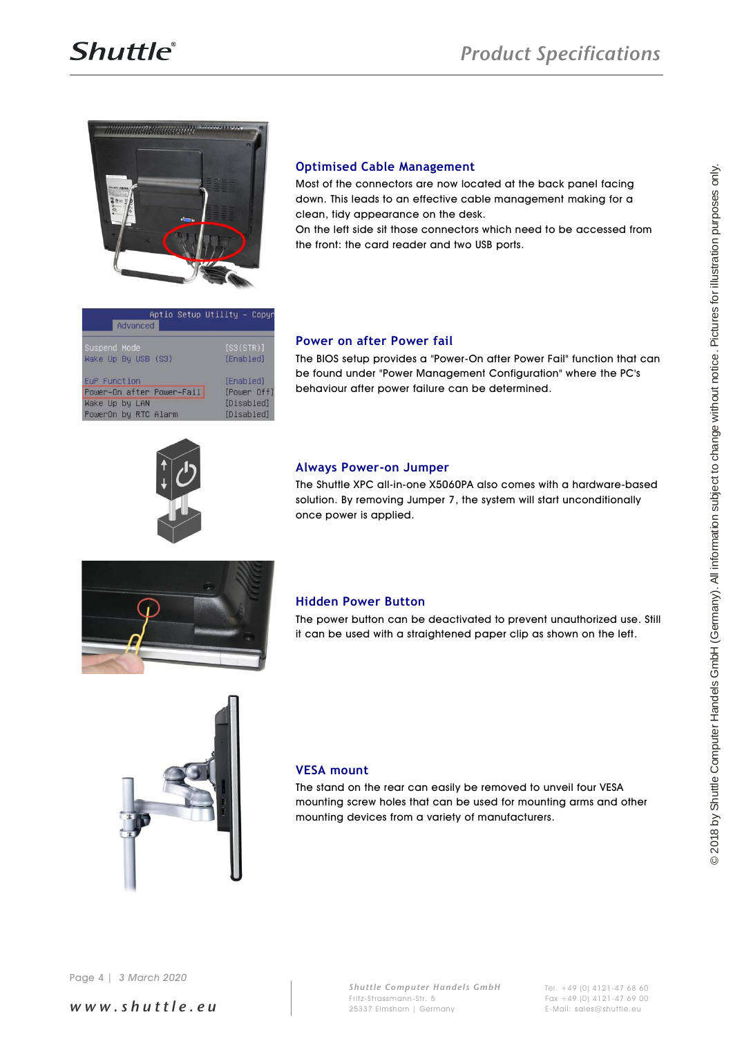

#### **Optimised Cable Management**

Most of the connectors are now located at the back panel facing down. This leads to an effective cable management making for a clean, tidy appearance on the desk.

On the left side sit those connectors which need to be accessed from the front: the card reader and two USB ports.

| Advanced                                    | Aptio Setup Utility - Copyr |
|---------------------------------------------|-----------------------------|
| Suspend Mode<br>Wake Up By USB (S3)         | [SS(STR)]<br>[Enabled]      |
| EuP Function                                | [Enabled]                   |
| Power-On after Power-Fail<br>Wake Up by LAN | [Power Off]<br>[Disabled]   |
| PowerOn by RTC Alarm                        | [Disabled]                  |

#### **Power on after Power fail**

The BIOS setup provides a "Power-On after Power Fail" function that can be found under "Power Management Configuration" where the PC's behaviour after power failure can be determined.



#### **Always Power-on Jumper**

The Shuttle XPC all-in-one X5060PA also comes with a hardware-based solution. By removing Jumper 7, the system will start unconditionally once power is applied.



#### **Hidden Power Button**

The power button can be deactivated to prevent unauthorized use. Still it can be used with a straightened paper clip as shown on the left.



#### **VESA mount**

The stand on the rear can easily be removed to unveil four VESA mounting screw holes that can be used for mounting arms and other mounting devices from a variety of manufacturers.

*w w w . s h u t t l e . e u*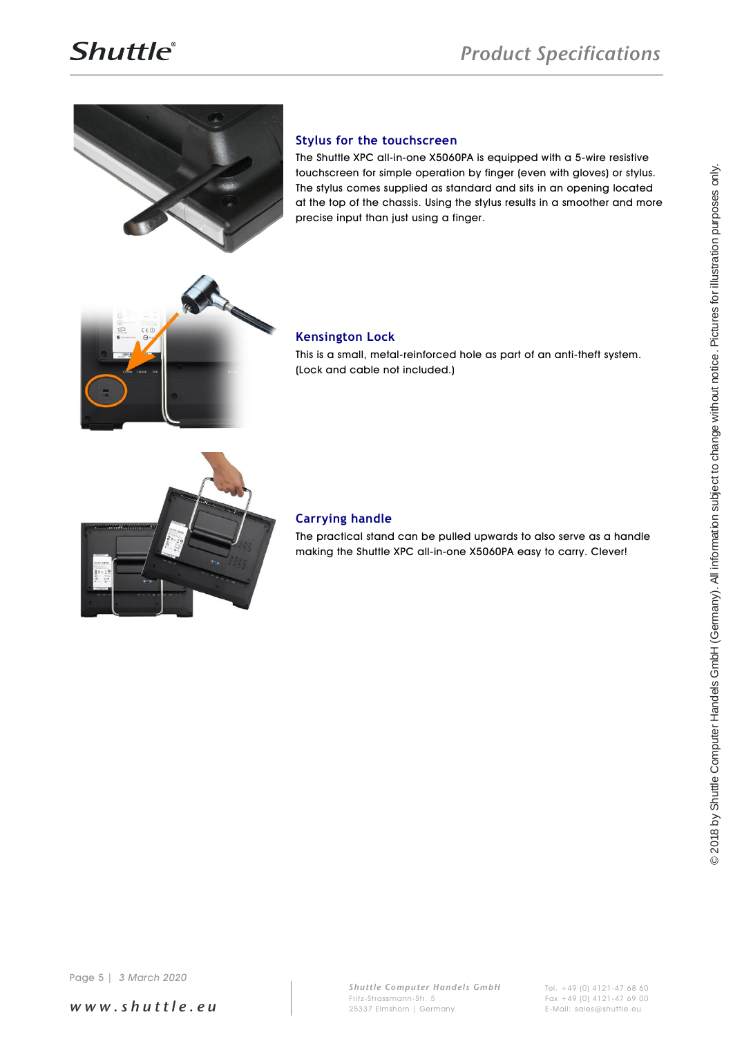

#### **Stylus for the touchscreen**

The Shuttle XPC all-in-one X5060PA is equipped with a 5-wire resistive touchscreen for simple operation by finger (even with gloves) or stylus. The stylus comes supplied as standard and sits in an opening located at the top of the chassis. Using the stylus results in a smoother and more precise input than just using a finger.



#### **Kensington Lock**

This is a small, metal-reinforced hole as part of an anti-theft system. (Lock and cable not included.)



#### **Carrying handle**

The practical stand can be pulled upwards to also serve as a handle making the Shuttle XPC all-in-one X5060PA easy to carry. Clever!

*w w w . s h u t t l e . e u*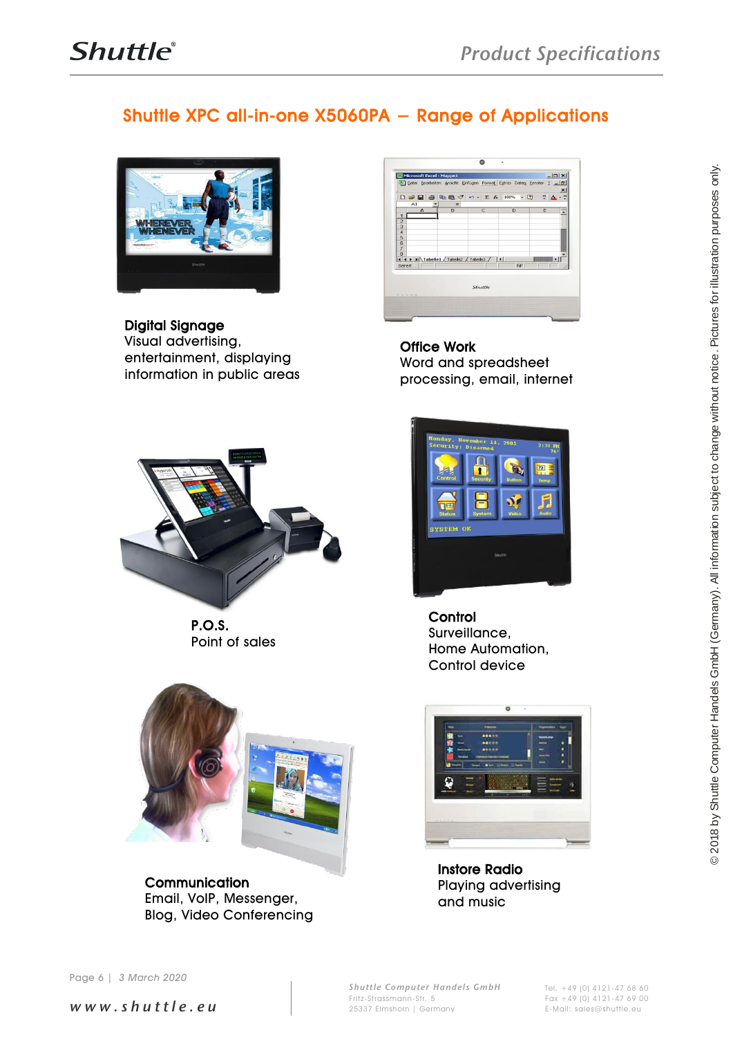### Shuttle XPC all-in-one X5060PA − Range of Applications



Digital Signage Visual advertising, entertainment, displaying information in public areas



P.O.S. Point of sales



**Communication** Email, VoIP, Messenger, Blog, Video Conferencing



Office Work Word and spreadsheet processing, email, internet



**Control** Surveillance, Home Automation, Control device



Instore Radio Playing advertising and music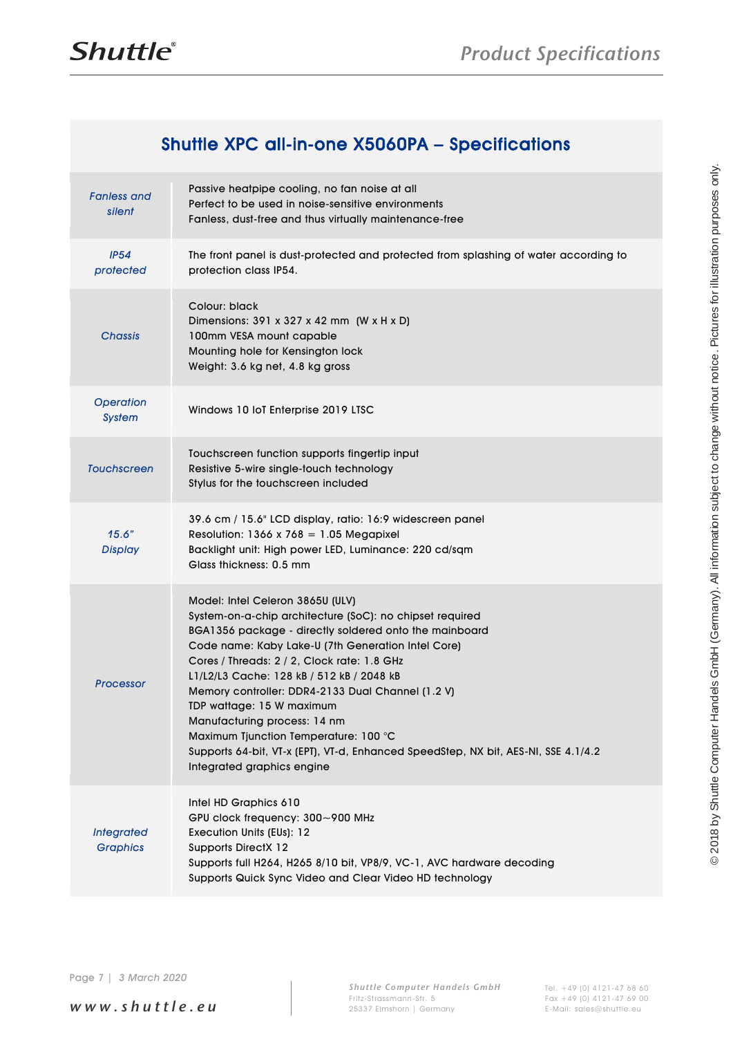### Shuttle XPC all-in-one X5060PA – Specifications

| <b>Fanless</b> and<br>silent         | Passive heatpipe cooling, no fan noise at all<br>Perfect to be used in noise-sensitive environments<br>Fanless, dust-free and thus virtually maintenance-free                                                                                                                                                                                                                                                                                                                                                                                                                           |
|--------------------------------------|-----------------------------------------------------------------------------------------------------------------------------------------------------------------------------------------------------------------------------------------------------------------------------------------------------------------------------------------------------------------------------------------------------------------------------------------------------------------------------------------------------------------------------------------------------------------------------------------|
| IP54<br>protected                    | The front panel is dust-protected and protected from splashing of water according to<br>protection class IP54.                                                                                                                                                                                                                                                                                                                                                                                                                                                                          |
| <b>Chassis</b>                       | Colour: black<br>Dimensions: $391 \times 327 \times 42$ mm (W x H x D)<br>100mm VESA mount capable<br>Mounting hole for Kensington lock<br>Weight: 3.6 kg net, 4.8 kg gross                                                                                                                                                                                                                                                                                                                                                                                                             |
| <b>Operation</b><br><b>System</b>    | Windows 10 IoT Enterprise 2019 LTSC                                                                                                                                                                                                                                                                                                                                                                                                                                                                                                                                                     |
| <b>Touchscreen</b>                   | Touchscreen function supports fingertip input<br>Resistive 5-wire single-touch technology<br>Stylus for the touchscreen included                                                                                                                                                                                                                                                                                                                                                                                                                                                        |
| 15.6"<br><b>Display</b>              | 39.6 cm / 15.6" LCD display, ratio: 16:9 widescreen panel<br>Resolution: 1366 x 768 = 1.05 Megapixel<br>Backlight unit: High power LED, Luminance: 220 cd/sqm<br>Glass thickness: 0.5 mm                                                                                                                                                                                                                                                                                                                                                                                                |
| <b>Processor</b>                     | Model: Intel Celeron 3865U (ULV)<br>System-on-a-chip architecture (SoC): no chipset required<br>BGA1356 package - directly soldered onto the mainboard<br>Code name: Kaby Lake-U (7th Generation Intel Core)<br>Cores / Threads: 2 / 2, Clock rate: 1.8 GHz<br>L1/L2/L3 Cache: 128 kB / 512 kB / 2048 kB<br>Memory controller: DDR4-2133 Dual Channel (1.2 V)<br>TDP wattage: 15 W maximum<br>Manufacturing process: 14 nm<br>Maximum Tjunction Temperature: 100 °C<br>Supports 64-bit, VT-x (EPT), VT-d, Enhanced SpeedStep, NX bit, AES-NI, SSE 4.1/4.2<br>Integrated graphics engine |
| <b>Integrated</b><br><b>Graphics</b> | Intel HD Graphics 610<br>GPU clock frequency: 300~900 MHz<br>Execution Units (EUs): 12<br><b>Supports DirectX 12</b><br>Supports full H264, H265 8/10 bit, VP8/9, VC-1, AVC hardware decoding<br>Supports Quick Sync Video and Clear Video HD technology                                                                                                                                                                                                                                                                                                                                |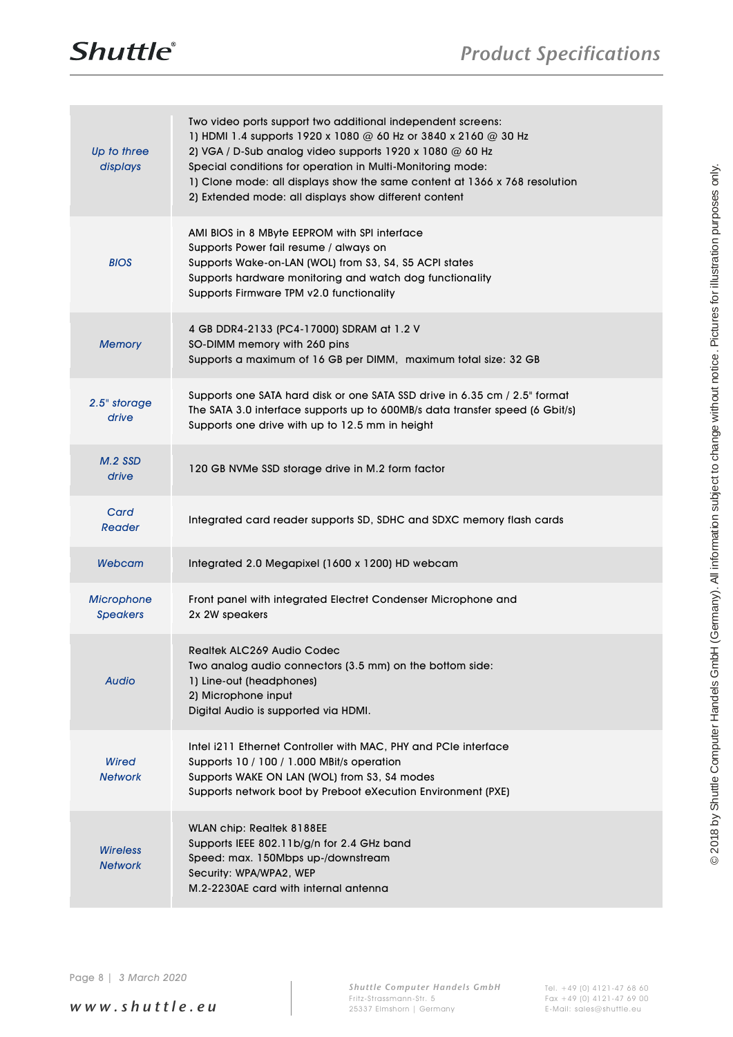

| Up to three<br>displays              | Two video ports support two additional independent screens:<br>1) HDMI 1.4 supports 1920 x 1080 @ 60 Hz or 3840 x 2160 @ 30 Hz<br>2) VGA / D-Sub analog video supports 1920 x 1080 @ 60 Hz<br>Special conditions for operation in Multi-Monitoring mode:<br>1) Clone mode: all displays show the same content at 1366 x 768 resolution<br>2) Extended mode: all displays show different content |
|--------------------------------------|-------------------------------------------------------------------------------------------------------------------------------------------------------------------------------------------------------------------------------------------------------------------------------------------------------------------------------------------------------------------------------------------------|
| <b>BIOS</b>                          | AMI BIOS in 8 MByte EEPROM with SPI interface<br>Supports Power fail resume / always on<br>Supports Wake-on-LAN (WOL) from S3, S4, S5 ACPI states<br>Supports hardware monitoring and watch dog functionality<br>Supports Firmware TPM v2.0 functionality                                                                                                                                       |
| <b>Memory</b>                        | 4 GB DDR4-2133 (PC4-17000) SDRAM at 1.2 V<br>SO-DIMM memory with 260 pins<br>Supports a maximum of 16 GB per DIMM, maximum total size: 32 GB                                                                                                                                                                                                                                                    |
| 2.5" storage<br>drive                | Supports one SATA hard disk or one SATA SSD drive in 6.35 cm / 2.5" format<br>The SATA 3.0 interface supports up to 600MB/s data transfer speed (6 Gbit/s)<br>Supports one drive with up to 12.5 mm in height                                                                                                                                                                                   |
| $M.2$ SSD<br>drive                   | 120 GB NVMe SSD storage drive in M.2 form factor                                                                                                                                                                                                                                                                                                                                                |
| Card<br>Reader                       | Integrated card reader supports SD, SDHC and SDXC memory flash cards                                                                                                                                                                                                                                                                                                                            |
| <b>Webcam</b>                        | Integrated 2.0 Megapixel (1600 x 1200) HD webcam                                                                                                                                                                                                                                                                                                                                                |
| <b>Microphone</b><br><b>Speakers</b> | Front panel with integrated Electret Condenser Microphone and<br>2x 2W speakers                                                                                                                                                                                                                                                                                                                 |
| <b>Audio</b>                         | Realtek ALC269 Audio Codec<br>Two analog audio connectors (3.5 mm) on the bottom side:<br>1) Line-out (headphones)<br>2) Microphone input<br>Digital Audio is supported via HDMI.                                                                                                                                                                                                               |
| <b>Wired</b><br><b>Network</b>       | Intel i211 Ethernet Controller with MAC, PHY and PCIe interface<br>Supports 10 / 100 / 1.000 MBit/s operation<br>Supports WAKE ON LAN (WOL) from S3, S4 modes<br>Supports network boot by Preboot eXecution Environment (PXE)                                                                                                                                                                   |
| <b>Wireless</b><br><b>Network</b>    | WLAN chip: Realtek 8188EE<br>Supports IEEE 802.11b/g/n for 2.4 GHz band<br>Speed: max. 150Mbps up-/downstream<br>Security: WPA/WPA2, WEP<br>M.2-2230AE card with internal antenna                                                                                                                                                                                                               |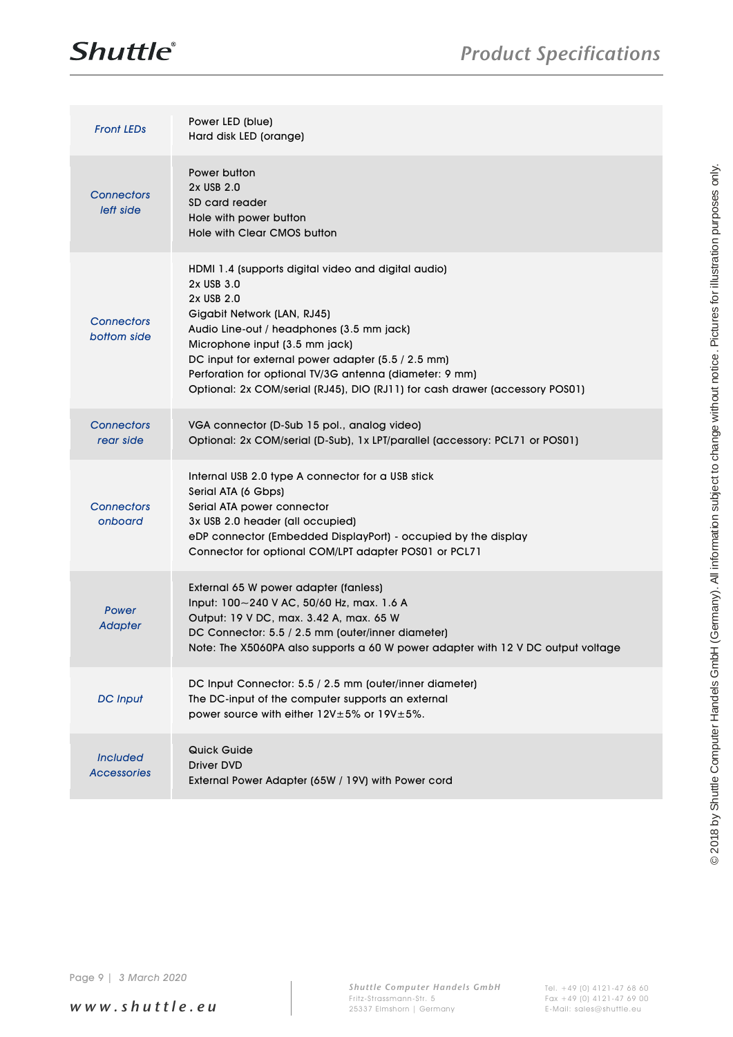



| Power button<br>2x USB 2.0<br><b>Connectors</b><br>SD card reader<br>left side<br>Hole with power button<br>Hole with Clear CMOS button<br>HDMI 1.4 (supports digital video and digital audio)<br>2x USB 3.0<br>2x USB 2.0<br>Gigabit Network (LAN, RJ45)<br><b>Connectors</b><br>Audio Line-out / headphones (3.5 mm jack)<br>bottom side<br>Microphone input (3.5 mm jack)<br>DC input for external power adapter (5.5 / 2.5 mm)<br>Perforation for optional TV/3G antenna (diameter: 9 mm)<br>Optional: 2x COM/serial (RJ45), DIO (RJ11) for cash drawer (accessory POS01)<br><b>Connectors</b><br>VGA connector (D-Sub 15 pol., analog video)<br>rear side<br>Optional: 2x COM/serial (D-Sub), 1x LPT/parallel (accessory: PCL71 or POS01)<br>Internal USB 2.0 type A connector for a USB stick<br>Serial ATA (6 Gbps)<br><b>Connectors</b><br>Serial ATA power connector<br>onboard<br>3x USB 2.0 header (all occupied)<br>eDP connector (Embedded DisplayPort) - occupied by the display<br>Connector for optional COM/LPT adapter POS01 or PCL71<br>External 65 W power adapter (fanless)<br>Input: 100~240 V AC, 50/60 Hz, max. 1.6 A<br>Power<br>Output: 19 V DC, max. 3.42 A, max. 65 W<br><b>Adapter</b><br>DC Connector: 5.5 / 2.5 mm (outer/inner diameter)<br>Note: The X5060PA also supports a 60 W power adapter with 12 V DC output voltage<br>DC Input Connector: 5.5 / 2.5 mm (outer/inner diameter)<br><b>DC</b> Input<br>The DC-input of the computer supports an external<br>power source with either 12V±5% or 19V±5%.<br>Quick Guide<br><b>Included</b><br><b>Driver DVD</b><br><b>Accessories</b><br>External Power Adapter (65W / 19V) with Power cord | <b>Front LEDs</b> | Power LED (blue)<br>Hard disk LED (orange) |  |
|----------------------------------------------------------------------------------------------------------------------------------------------------------------------------------------------------------------------------------------------------------------------------------------------------------------------------------------------------------------------------------------------------------------------------------------------------------------------------------------------------------------------------------------------------------------------------------------------------------------------------------------------------------------------------------------------------------------------------------------------------------------------------------------------------------------------------------------------------------------------------------------------------------------------------------------------------------------------------------------------------------------------------------------------------------------------------------------------------------------------------------------------------------------------------------------------------------------------------------------------------------------------------------------------------------------------------------------------------------------------------------------------------------------------------------------------------------------------------------------------------------------------------------------------------------------------------------------------------------------------------------------------------------------------------------|-------------------|--------------------------------------------|--|
|                                                                                                                                                                                                                                                                                                                                                                                                                                                                                                                                                                                                                                                                                                                                                                                                                                                                                                                                                                                                                                                                                                                                                                                                                                                                                                                                                                                                                                                                                                                                                                                                                                                                                  |                   |                                            |  |
|                                                                                                                                                                                                                                                                                                                                                                                                                                                                                                                                                                                                                                                                                                                                                                                                                                                                                                                                                                                                                                                                                                                                                                                                                                                                                                                                                                                                                                                                                                                                                                                                                                                                                  |                   |                                            |  |
|                                                                                                                                                                                                                                                                                                                                                                                                                                                                                                                                                                                                                                                                                                                                                                                                                                                                                                                                                                                                                                                                                                                                                                                                                                                                                                                                                                                                                                                                                                                                                                                                                                                                                  |                   |                                            |  |
|                                                                                                                                                                                                                                                                                                                                                                                                                                                                                                                                                                                                                                                                                                                                                                                                                                                                                                                                                                                                                                                                                                                                                                                                                                                                                                                                                                                                                                                                                                                                                                                                                                                                                  |                   |                                            |  |
|                                                                                                                                                                                                                                                                                                                                                                                                                                                                                                                                                                                                                                                                                                                                                                                                                                                                                                                                                                                                                                                                                                                                                                                                                                                                                                                                                                                                                                                                                                                                                                                                                                                                                  |                   |                                            |  |
|                                                                                                                                                                                                                                                                                                                                                                                                                                                                                                                                                                                                                                                                                                                                                                                                                                                                                                                                                                                                                                                                                                                                                                                                                                                                                                                                                                                                                                                                                                                                                                                                                                                                                  |                   |                                            |  |
|                                                                                                                                                                                                                                                                                                                                                                                                                                                                                                                                                                                                                                                                                                                                                                                                                                                                                                                                                                                                                                                                                                                                                                                                                                                                                                                                                                                                                                                                                                                                                                                                                                                                                  |                   |                                            |  |
|                                                                                                                                                                                                                                                                                                                                                                                                                                                                                                                                                                                                                                                                                                                                                                                                                                                                                                                                                                                                                                                                                                                                                                                                                                                                                                                                                                                                                                                                                                                                                                                                                                                                                  |                   |                                            |  |

*w w w . s h u t t l e . e u*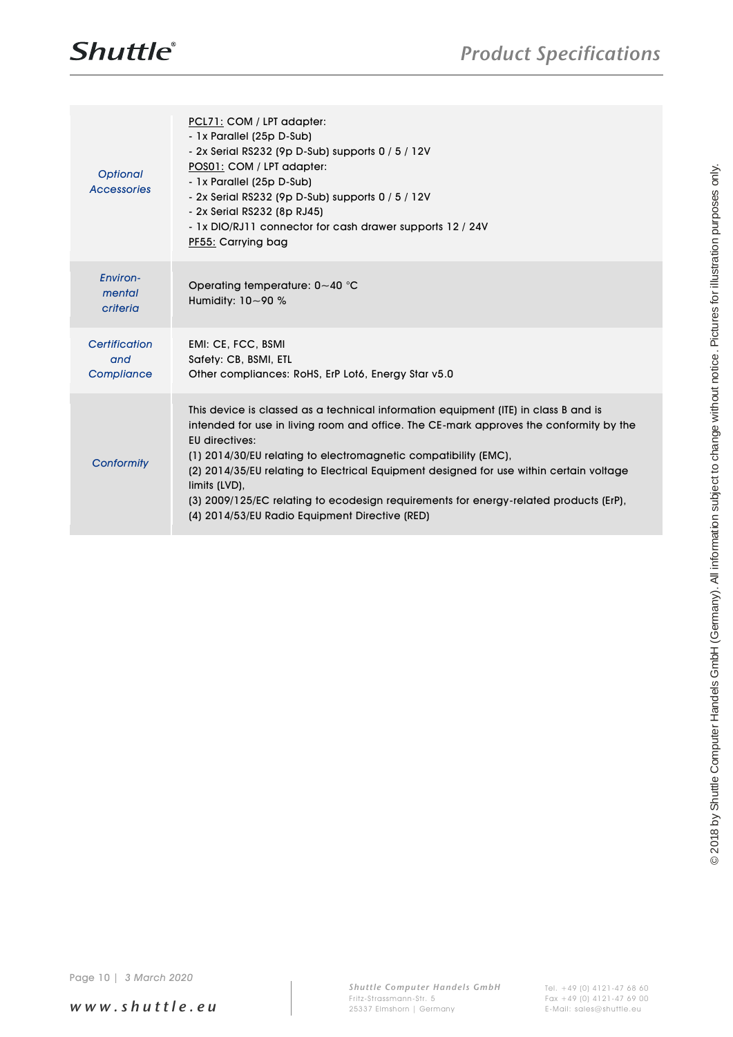| <b>Optional</b><br>Accessories     | PCL71: COM / LPT adapter:<br>- 1x Parallel (25p D-Sub)<br>- 2x Serial RS232 (9p D-Sub) supports 0 / 5 / 12V<br>POS01: COM / LPT adapter:<br>- 1x Parallel (25p D-Sub)<br>- 2x Serial RS232 (9p D-Sub) supports 0 / 5 / 12V<br>- 2x Serial RS232 (8p RJ45)<br>- 1x DIO/RJ11 connector for cash drawer supports 12 / 24V<br>PF55: Carrying bag                                                                                                                                                                                     |                                                                                                                                               |
|------------------------------------|----------------------------------------------------------------------------------------------------------------------------------------------------------------------------------------------------------------------------------------------------------------------------------------------------------------------------------------------------------------------------------------------------------------------------------------------------------------------------------------------------------------------------------|-----------------------------------------------------------------------------------------------------------------------------------------------|
| Environ-<br>mental<br>criteria     | Operating temperature: 0~40 °C<br>Humidity: 10~90 %                                                                                                                                                                                                                                                                                                                                                                                                                                                                              |                                                                                                                                               |
| Certification<br>and<br>Compliance | EMI: CE, FCC, BSMI<br>Safety: CB, BSMI, ETL<br>Other compliances: RoHS, ErP Lot6, Energy Star v5.0                                                                                                                                                                                                                                                                                                                                                                                                                               |                                                                                                                                               |
| Conformity                         | This device is classed as a technical information equipment (ITE) in class B and is<br>intended for use in living room and office. The CE-mark approves the conformity by the<br><b>EU directives:</b><br>(1) 2014/30/EU relating to electromagnetic compatibility (EMC),<br>(2) 2014/35/EU relating to Electrical Equipment designed for use within certain voltage<br>limits (LVD),<br>(3) 2009/125/EC relating to ecodesign requirements for energy-related products (ErP),<br>(4) 2014/53/EU Radio Equipment Directive (RED) |                                                                                                                                               |
|                                    |                                                                                                                                                                                                                                                                                                                                                                                                                                                                                                                                  | @ 2018 by Shuttle Computer Handels GmbH (Germany). All information subject to change without notice. Pictures for illustration purposes only. |
| 3 March 2020<br>Page $10 $         |                                                                                                                                                                                                                                                                                                                                                                                                                                                                                                                                  |                                                                                                                                               |

*w w w . s h u t t l e . e u*